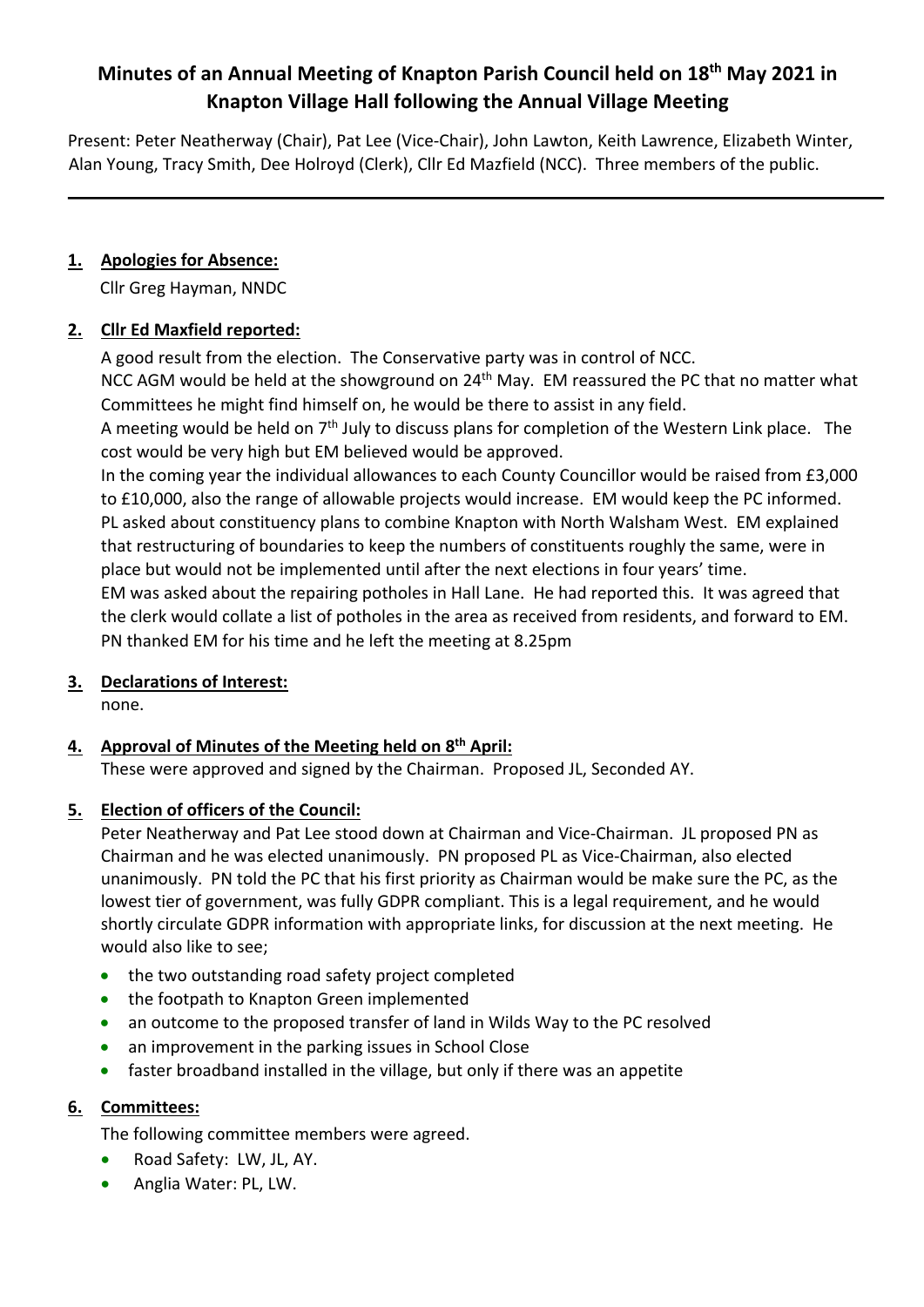# **Minutes of an Annual Meeting of Knapton Parish Council held on 18th May 2021 in Knapton Village Hall following the Annual Village Meeting**

Present: Peter Neatherway (Chair), Pat Lee (Vice-Chair), John Lawton, Keith Lawrence, Elizabeth Winter, Alan Young, Tracy Smith, Dee Holroyd (Clerk), Cllr Ed Mazfield (NCC). Three members of the public.

### **1. Apologies for Absence:**

Cllr Greg Hayman, NNDC

#### **2. Cllr Ed Maxfield reported:**

A good result from the election. The Conservative party was in control of NCC.

NCC AGM would be held at the showground on  $24<sup>th</sup>$  May. EM reassured the PC that no matter what Committees he might find himself on, he would be there to assist in any field.

A meeting would be held on  $7<sup>th</sup>$  July to discuss plans for completion of the Western Link place. The cost would be very high but EM believed would be approved.

In the coming year the individual allowances to each County Councillor would be raised from £3,000 to £10,000, also the range of allowable projects would increase. EM would keep the PC informed. PL asked about constituency plans to combine Knapton with North Walsham West. EM explained that restructuring of boundaries to keep the numbers of constituents roughly the same, were in place but would not be implemented until after the next elections in four years' time. EM was asked about the repairing potholes in Hall Lane. He had reported this. It was agreed that the clerk would collate a list of potholes in the area as received from residents, and forward to EM. PN thanked EM for his time and he left the meeting at 8.25pm

# **3. Declarations of Interest:**

none.

# **4. Approval of Minutes of the Meeting held on 8th April:**

These were approved and signed by the Chairman. Proposed JL, Seconded AY.

# **5. Election of officers of the Council:**

Peter Neatherway and Pat Lee stood down at Chairman and Vice-Chairman. JL proposed PN as Chairman and he was elected unanimously. PN proposed PL as Vice-Chairman, also elected unanimously. PN told the PC that his first priority as Chairman would be make sure the PC, as the lowest tier of government, was fully GDPR compliant. This is a legal requirement, and he would shortly circulate GDPR information with appropriate links, for discussion at the next meeting. He would also like to see;

- the two outstanding road safety project completed
- the footpath to Knapton Green implemented
- an outcome to the proposed transfer of land in Wilds Way to the PC resolved
- an improvement in the parking issues in School Close
- faster broadband installed in the village, but only if there was an appetite

# **6. Committees:**

The following committee members were agreed.

- Road Safety: LW, JL, AY.
- Anglia Water: PL, LW.